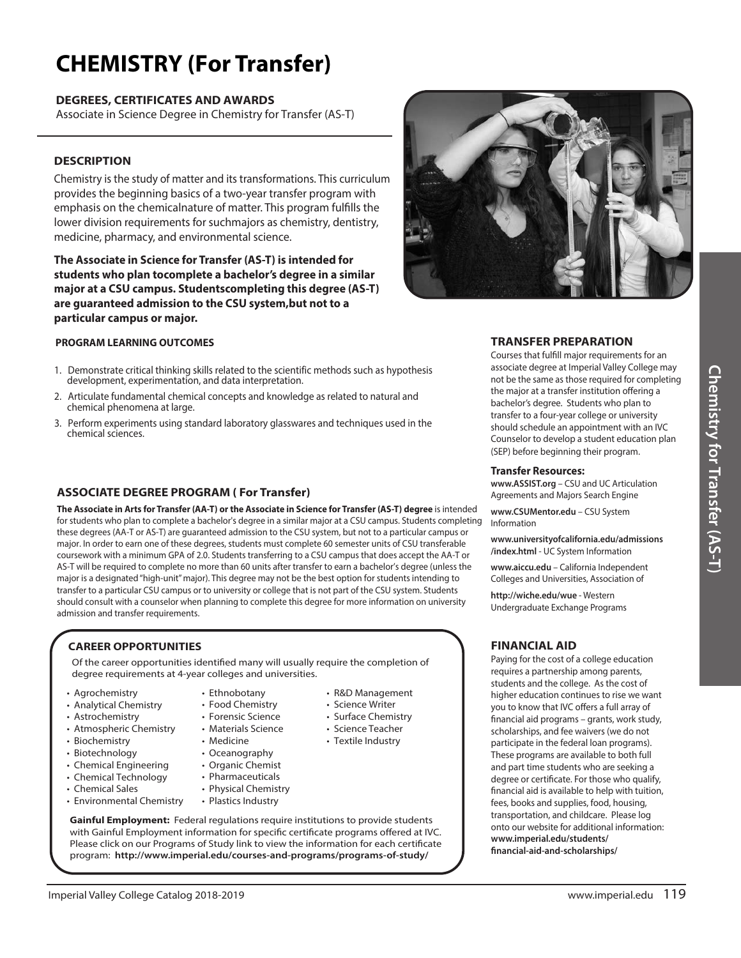# **\$)&.\*453Y (For Transfer)**

# **DEGREES, CERTIFICATES AND AWARDS**

Associate in Science Degree in Chemistry for Transfer (AS-T)

# **DESCRIPTION DESCRIPTION**

Chemistry is the study of matter and its transformations. This curriculum  $\blacksquare$ provides the beginning basics of a two-year transfer program with the state emphasis on the chemicalnature of matter. This program fulfills the lower division requirements for suchmajors as chemistry, dentistry,  $\begin{bmatrix} \bullet & \bullet \\ \bullet & \bullet & \bullet \end{bmatrix}$ medicine, pharmacy, and environmental science.

**The Associate in Science for Transfer (AS-T) is intended for**  $\blacksquare$ **students who plan tocomplete a bachelor's degree in a similar**  $\|\cdot\|$ major at a CSU campus. Studentscompleting this degree (AS-T)  $\blacksquare$ mayor are too tampast organization promi*y* and asgree *demonstration for a and a system* **particular campus or major.**

## **PROGRAM LEARNING OUTCOMES**

- 1. Demonstrate critical thinking skills related to the scientific methods such as hypothesis development, experimentation, and data interpretation.
- 2. Articulate fundamental chemical concepts and knowledge as related to natural and chemical phenomena at large.
- 3. Perform experiments using standard laboratory glasswares and techniques used in the chemical sciences.

# **ASSOCIATE DEGREE PROGRAM ( For Transfer)**

**The Associate in Arts for Transfer (AA-T) or the Associate in Science for Transfer (AS-T) degree** is intended for students who plan to complete a bachelor's degree in a similar major at a CSU campus. Students completing these degrees (AA-T or AS-T) are guaranteed admission to the CSU system, but not to a particular campus or major. In order to earn one of these degrees, students must complete 60 semester units of CSU transferable coursework with a minimum GPA of 2.0. Students transferring to a CSU campus that does accept the AA-T or AS-T will be required to complete no more than 60 units after transfer to earn a bachelor's degree (unless the major is a designated "high-unit" major). This degree may not be the best option for students intending to transfer to a particular CSU campus or to university or college that is not part of the CSU system. Students should consult with a counselor when planning to complete this degree for more information on university admission and transfer requirements.

# **CAREER OPPORTUNITIES**

Of the career opportunities identified many will usually require the completion of degree requirements at 4-year colleges and universities.

> • Ethnobotany • Food Chemistry • Forensic Science • Materials Science • Medicine • Oceanography

- Agrochemistry
- Analytical Chemistry
- Astrochemistry
- Atmospheric Chemistry
- Biochemistry
- Biotechnology
- Chemical Engineering
- Chemical Technology
- Chemical Sales
- Environmental Chemistry
- Organic Chemist • Pharmaceuticals
- Physical Chemistry
	- Plastics Industry

**Gainful Employment:** Federal regulations require institutions to provide students with Gainful Employment information for specific certificate programs offered at IVC. Please click on our Programs of Study link to view the information for each certificate program: **http://www.imperial.edu/courses-and-programs/programs-of-study/**



# **TRANSFER PREPARATION**

Courses that fulfill major requirements for an associate degree at Imperial Valley College may not be the same as those required for completing the major at a transfer institution offering a bachelor's degree. Students who plan to transfer to a four-year college or university should schedule an appointment with an IVC Counselor to develop a student education plan (SEP) before beginning their program.

#### **Transfer Resources:**

**www.ASSIST.org** – CSU and UC Articulation Agreements and Majors Search Engine

**www.CSUMentor.edu** – CSU System Information

**www.universityofcalifornia.edu/admissions /index.html** - UC System Information

**www.aiccu.edu** – California Independent Colleges and Universities, Association of

**http://wiche.edu/wue** - Western Undergraduate Exchange Programs

# **FINANCIAL AID**

Paying for the cost of a college education requires a partnership among parents, students and the college. As the cost of higher education continues to rise we want you to know that IVC offers a full array of -nancial aid programs – grants, work study, scholarships, and fee waivers (we do not participate in the federal loan programs). These programs are available to both full and part time students who are seeking a degree or certificate. For those who qualify, -nancial aid is available to help with tuition, fees, books and supplies, food, housing, transportation, and childcare. Please log onto our website for additional information: **www.imperial.edu/students/ -nancial-aid-and-scholarships/**

• R&D Management • Science Writer • Surface Chemistry • Science Teacher • Textile Industry

Imperial Valley College Catalog 2018-2019 **Water College Catalog 2018-2019** www.imperial.edu 119